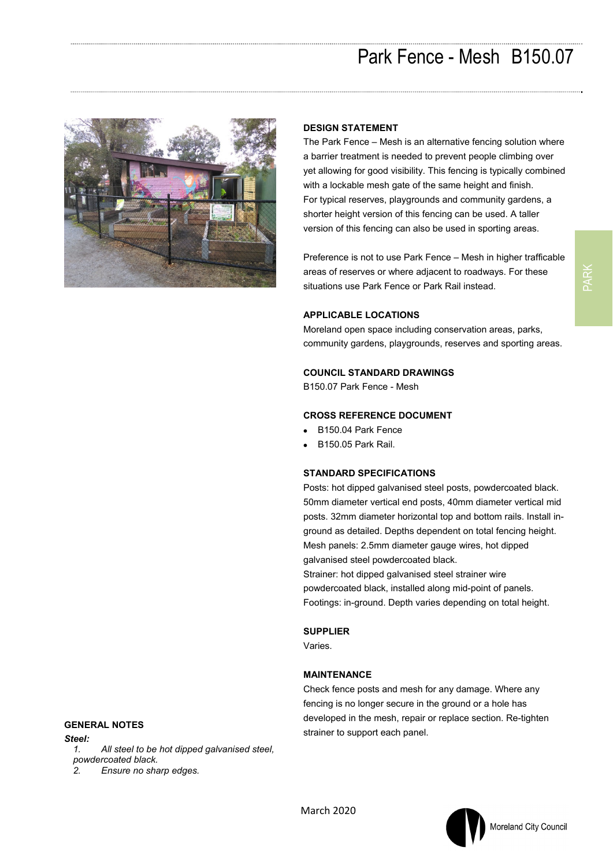

## **DESIGN STATEMENT**

The Park Fence – Mesh is an alternative fencing solution where a barrier treatment is needed to prevent people climbing over yet allowing for good visibility. This fencing is typically combined with a lockable mesh gate of the same height and finish. For typical reserves, playgrounds and community gardens, a shorter height version of this fencing can be used. A taller version of this fencing can also be used in sporting areas.

Preference is not to use Park Fence – Mesh in higher trafficable areas of reserves or where adjacent to roadways. For these situations use Park Fence or Park Rail instead.

## **APPLICABLE LOCATIONS**

Moreland open space including conservation areas, parks, community gardens, playgrounds, reserves and sporting areas.

#### **COUNCIL STANDARD DRAWINGS**

B150.07 Park Fence - Mesh

#### **CROSS REFERENCE DOCUMENT**

- B150.04 Park Fence
- B150.05 Park Rail.

## **STANDARD SPECIFICATIONS**

Posts: hot dipped galvanised steel posts, powdercoated black. 50mm diameter vertical end posts, 40mm diameter vertical mid posts. 32mm diameter horizontal top and bottom rails. Install inground as detailed. Depths dependent on total fencing height. Mesh panels: 2.5mm diameter gauge wires, hot dipped galvanised steel powdercoated black.

Strainer: hot dipped galvanised steel strainer wire powdercoated black, installed along mid-point of panels. Footings: in-ground. Depth varies depending on total height.

#### **SUPPLIER**

Varies.

#### **MAINTENANCE**

Check fence posts and mesh for any damage. Where any fencing is no longer secure in the ground or a hole has developed in the mesh, repair or replace section. Re-tighten strainer to support each panel.

# **GENERAL NOTES**

*Steel: 1. All steel to be hot dipped galvanised steel, powdercoated black.* 

*2. Ensure no sharp edges.* 



March 2020